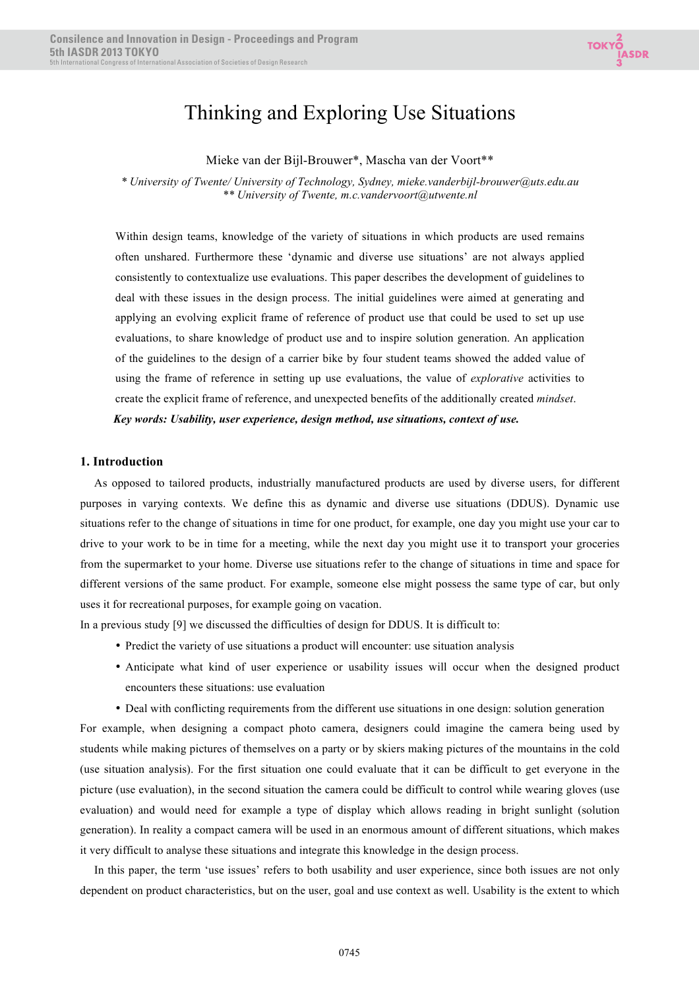# Thinking and Exploring Use Situations

Mieke van der Bijl-Brouwer\*, Mascha van der Voort\*\*

*\* University of Twente/ University of Technology, Sydney, mieke.vanderbijl-brouwer@uts.edu.au \*\* University of Twente, m.c.vandervoort@utwente.nl*

Within design teams, knowledge of the variety of situations in which products are used remains often unshared. Furthermore these 'dynamic and diverse use situations' are not always applied consistently to contextualize use evaluations. This paper describes the development of guidelines to deal with these issues in the design process. The initial guidelines were aimed at generating and applying an evolving explicit frame of reference of product use that could be used to set up use evaluations, to share knowledge of product use and to inspire solution generation. An application of the guidelines to the design of a carrier bike by four student teams showed the added value of using the frame of reference in setting up use evaluations, the value of *explorative* activities to create the explicit frame of reference, and unexpected benefits of the additionally created *mindset*. *Key words: Usability, user experience, design method, use situations, context of use.* 

#### **1. Introduction**

As opposed to tailored products, industrially manufactured products are used by diverse users, for different purposes in varying contexts. We define this as dynamic and diverse use situations (DDUS). Dynamic use situations refer to the change of situations in time for one product, for example, one day you might use your car to drive to your work to be in time for a meeting, while the next day you might use it to transport your groceries from the supermarket to your home. Diverse use situations refer to the change of situations in time and space for different versions of the same product. For example, someone else might possess the same type of car, but only uses it for recreational purposes, for example going on vacation.

In a previous study [9] we discussed the difficulties of design for DDUS. It is difficult to:

- Predict the variety of use situations a product will encounter: use situation analysis
- Anticipate what kind of user experience or usability issues will occur when the designed product encounters these situations: use evaluation
- Deal with conflicting requirements from the different use situations in one design: solution generation

For example, when designing a compact photo camera, designers could imagine the camera being used by students while making pictures of themselves on a party or by skiers making pictures of the mountains in the cold (use situation analysis). For the first situation one could evaluate that it can be difficult to get everyone in the picture (use evaluation), in the second situation the camera could be difficult to control while wearing gloves (use evaluation) and would need for example a type of display which allows reading in bright sunlight (solution generation). In reality a compact camera will be used in an enormous amount of different situations, which makes it very difficult to analyse these situations and integrate this knowledge in the design process.

In this paper, the term 'use issues' refers to both usability and user experience, since both issues are not only dependent on product characteristics, but on the user, goal and use context as well. Usability is the extent to which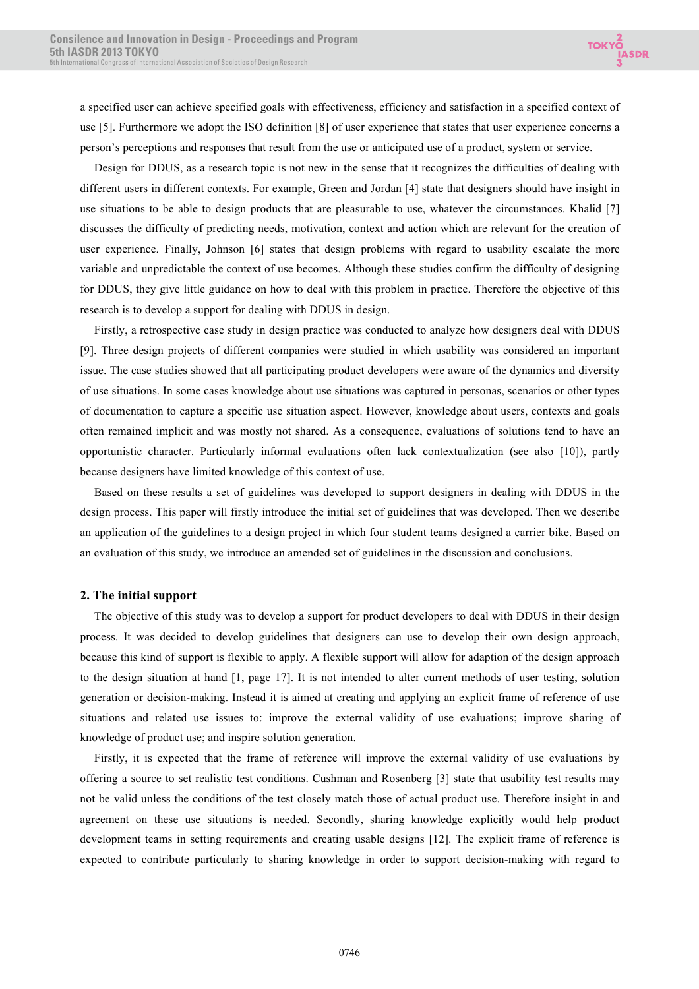a specified user can achieve specified goals with effectiveness, efficiency and satisfaction in a specified context of use [5]. Furthermore we adopt the ISO definition [8] of user experience that states that user experience concerns a person's perceptions and responses that result from the use or anticipated use of a product, system or service.

Design for DDUS, as a research topic is not new in the sense that it recognizes the difficulties of dealing with different users in different contexts. For example, Green and Jordan [4] state that designers should have insight in use situations to be able to design products that are pleasurable to use, whatever the circumstances. Khalid [7] discusses the difficulty of predicting needs, motivation, context and action which are relevant for the creation of user experience. Finally, Johnson [6] states that design problems with regard to usability escalate the more variable and unpredictable the context of use becomes. Although these studies confirm the difficulty of designing for DDUS, they give little guidance on how to deal with this problem in practice. Therefore the objective of this research is to develop a support for dealing with DDUS in design.

Firstly, a retrospective case study in design practice was conducted to analyze how designers deal with DDUS [9]. Three design projects of different companies were studied in which usability was considered an important issue. The case studies showed that all participating product developers were aware of the dynamics and diversity of use situations. In some cases knowledge about use situations was captured in personas, scenarios or other types of documentation to capture a specific use situation aspect. However, knowledge about users, contexts and goals often remained implicit and was mostly not shared. As a consequence, evaluations of solutions tend to have an opportunistic character. Particularly informal evaluations often lack contextualization (see also [10]), partly because designers have limited knowledge of this context of use.

Based on these results a set of guidelines was developed to support designers in dealing with DDUS in the design process. This paper will firstly introduce the initial set of guidelines that was developed. Then we describe an application of the guidelines to a design project in which four student teams designed a carrier bike. Based on an evaluation of this study, we introduce an amended set of guidelines in the discussion and conclusions.

## **2. The initial support**

The objective of this study was to develop a support for product developers to deal with DDUS in their design process. It was decided to develop guidelines that designers can use to develop their own design approach, because this kind of support is flexible to apply. A flexible support will allow for adaption of the design approach to the design situation at hand [1, page 17]. It is not intended to alter current methods of user testing, solution generation or decision-making. Instead it is aimed at creating and applying an explicit frame of reference of use situations and related use issues to: improve the external validity of use evaluations; improve sharing of knowledge of product use; and inspire solution generation.

Firstly, it is expected that the frame of reference will improve the external validity of use evaluations by offering a source to set realistic test conditions. Cushman and Rosenberg [3] state that usability test results may not be valid unless the conditions of the test closely match those of actual product use. Therefore insight in and agreement on these use situations is needed. Secondly, sharing knowledge explicitly would help product development teams in setting requirements and creating usable designs [12]. The explicit frame of reference is expected to contribute particularly to sharing knowledge in order to support decision-making with regard to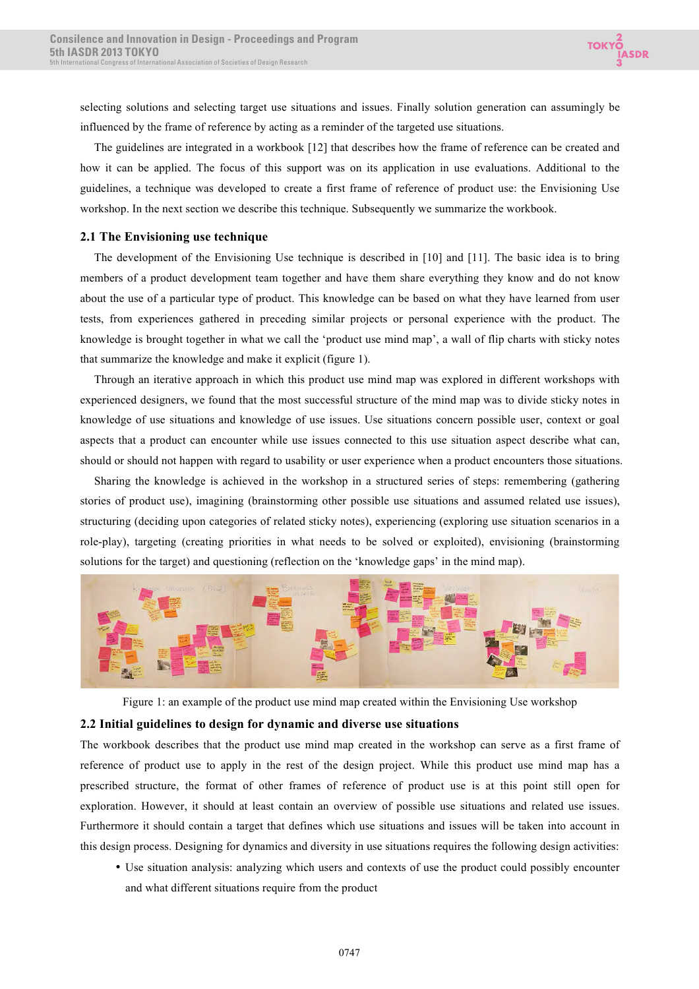selecting solutions and selecting target use situations and issues. Finally solution generation can assumingly be influenced by the frame of reference by acting as a reminder of the targeted use situations.

The guidelines are integrated in a workbook [12] that describes how the frame of reference can be created and how it can be applied. The focus of this support was on its application in use evaluations. Additional to the guidelines, a technique was developed to create a first frame of reference of product use: the Envisioning Use workshop. In the next section we describe this technique. Subsequently we summarize the workbook.

## **2.1 The Envisioning use technique**

The development of the Envisioning Use technique is described in [10] and [11]. The basic idea is to bring members of a product development team together and have them share everything they know and do not know about the use of a particular type of product. This knowledge can be based on what they have learned from user tests, from experiences gathered in preceding similar projects or personal experience with the product. The knowledge is brought together in what we call the 'product use mind map', a wall of flip charts with sticky notes that summarize the knowledge and make it explicit (figure 1).

Through an iterative approach in which this product use mind map was explored in different workshops with experienced designers, we found that the most successful structure of the mind map was to divide sticky notes in knowledge of use situations and knowledge of use issues. Use situations concern possible user, context or goal aspects that a product can encounter while use issues connected to this use situation aspect describe what can, should or should not happen with regard to usability or user experience when a product encounters those situations.

Sharing the knowledge is achieved in the workshop in a structured series of steps: remembering (gathering stories of product use), imagining (brainstorming other possible use situations and assumed related use issues), structuring (deciding upon categories of related sticky notes), experiencing (exploring use situation scenarios in a role-play), targeting (creating priorities in what needs to be solved or exploited), envisioning (brainstorming solutions for the target) and questioning (reflection on the 'knowledge gaps' in the mind map).



Figure 1: an example of the product use mind map created within the Envisioning Use workshop

## **2.2 Initial guidelines to design for dynamic and diverse use situations**

The workbook describes that the product use mind map created in the workshop can serve as a first frame of reference of product use to apply in the rest of the design project. While this product use mind map has a prescribed structure, the format of other frames of reference of product use is at this point still open for exploration. However, it should at least contain an overview of possible use situations and related use issues. Furthermore it should contain a target that defines which use situations and issues will be taken into account in this design process. Designing for dynamics and diversity in use situations requires the following design activities:

• Use situation analysis: analyzing which users and contexts of use the product could possibly encounter and what different situations require from the product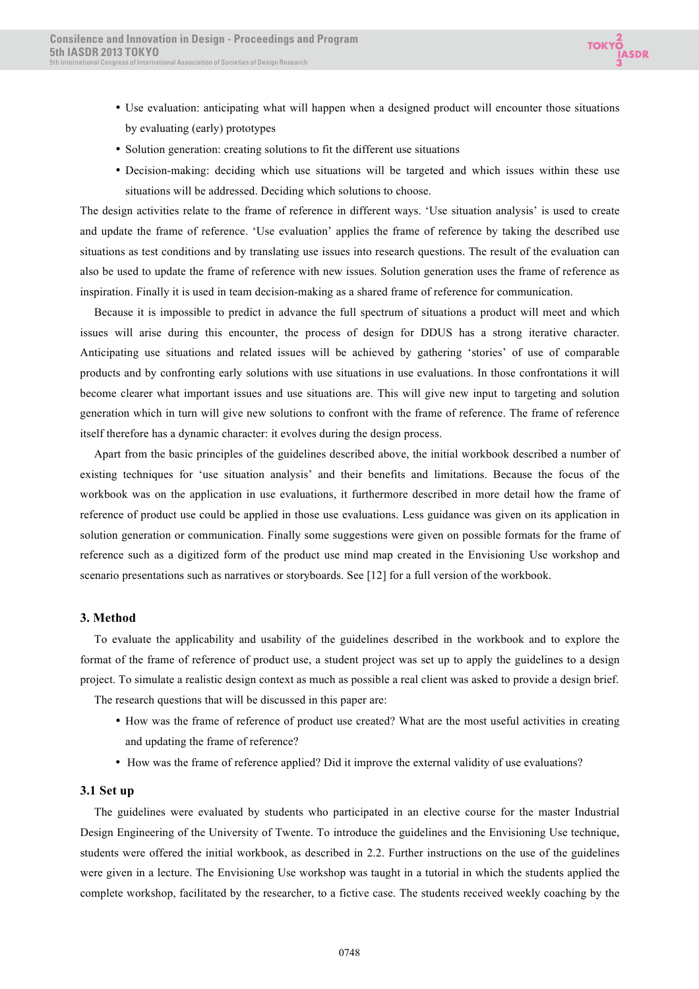

- Use evaluation: anticipating what will happen when a designed product will encounter those situations by evaluating (early) prototypes
- Solution generation: creating solutions to fit the different use situations
- Decision-making: deciding which use situations will be targeted and which issues within these use situations will be addressed. Deciding which solutions to choose.

The design activities relate to the frame of reference in different ways. 'Use situation analysis' is used to create and update the frame of reference. 'Use evaluation' applies the frame of reference by taking the described use situations as test conditions and by translating use issues into research questions. The result of the evaluation can also be used to update the frame of reference with new issues. Solution generation uses the frame of reference as inspiration. Finally it is used in team decision-making as a shared frame of reference for communication.

Because it is impossible to predict in advance the full spectrum of situations a product will meet and which issues will arise during this encounter, the process of design for DDUS has a strong iterative character. Anticipating use situations and related issues will be achieved by gathering 'stories' of use of comparable products and by confronting early solutions with use situations in use evaluations. In those confrontations it will become clearer what important issues and use situations are. This will give new input to targeting and solution generation which in turn will give new solutions to confront with the frame of reference. The frame of reference itself therefore has a dynamic character: it evolves during the design process.

Apart from the basic principles of the guidelines described above, the initial workbook described a number of existing techniques for 'use situation analysis' and their benefits and limitations. Because the focus of the workbook was on the application in use evaluations, it furthermore described in more detail how the frame of reference of product use could be applied in those use evaluations. Less guidance was given on its application in solution generation or communication. Finally some suggestions were given on possible formats for the frame of reference such as a digitized form of the product use mind map created in the Envisioning Use workshop and scenario presentations such as narratives or storyboards. See [12] for a full version of the workbook.

## **3. Method**

To evaluate the applicability and usability of the guidelines described in the workbook and to explore the format of the frame of reference of product use, a student project was set up to apply the guidelines to a design project. To simulate a realistic design context as much as possible a real client was asked to provide a design brief. The research questions that will be discussed in this paper are:

- How was the frame of reference of product use created? What are the most useful activities in creating and updating the frame of reference?
- How was the frame of reference applied? Did it improve the external validity of use evaluations?

## **3.1 Set up**

The guidelines were evaluated by students who participated in an elective course for the master Industrial Design Engineering of the University of Twente. To introduce the guidelines and the Envisioning Use technique, students were offered the initial workbook, as described in 2.2. Further instructions on the use of the guidelines were given in a lecture. The Envisioning Use workshop was taught in a tutorial in which the students applied the complete workshop, facilitated by the researcher, to a fictive case. The students received weekly coaching by the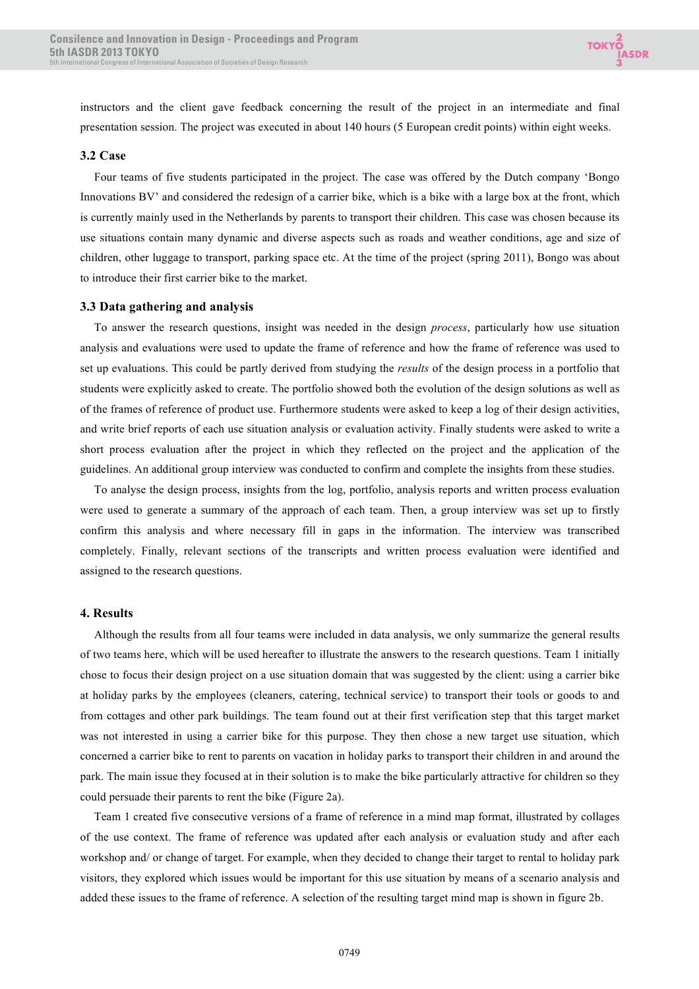instructors and the client gave feedback concerning the result of the project in an intermediate and final presentation session. The project was executed in about 140 hours (5 European credit points) within eight weeks.

#### **3.2 Case**

Four teams of five students participated in the project. The case was offered by the Dutch company 'Bongo Innovations BV' and considered the redesign of a carrier bike, which is a bike with a large box at the front, which is currently mainly used in the Netherlands by parents to transport their children. This case was chosen because its use situations contain many dynamic and diverse aspects such as roads and weather conditions, age and size of children, other luggage to transport, parking space etc. At the time of the project (spring 2011), Bongo was about to introduce their first carrier bike to the market.

#### **3.3 Data gathering and analysis**

To answer the research questions, insight was needed in the design *process*, particularly how use situation analysis and evaluations were used to update the frame of reference and how the frame of reference was used to set up evaluations. This could be partly derived from studying the *results* of the design process in a portfolio that students were explicitly asked to create. The portfolio showed both the evolution of the design solutions as well as of the frames of reference of product use. Furthermore students were asked to keep a log of their design activities, and write brief reports of each use situation analysis or evaluation activity. Finally students were asked to write a short process evaluation after the project in which they reflected on the project and the application of the guidelines. An additional group interview was conducted to confirm and complete the insights from these studies.

To analyse the design process, insights from the log, portfolio, analysis reports and written process evaluation were used to generate a summary of the approach of each team. Then, a group interview was set up to firstly confirm this analysis and where necessary fill in gaps in the information. The interview was transcribed completely. Finally, relevant sections of the transcripts and written process evaluation were identified and assigned to the research questions.

#### **4. Results**

Although the results from all four teams were included in data analysis, we only summarize the general results of two teams here, which will be used hereafter to illustrate the answers to the research questions. Team 1 initially chose to focus their design project on a use situation domain that was suggested by the client: using a carrier bike at holiday parks by the employees (cleaners, catering, technical service) to transport their tools or goods to and from cottages and other park buildings. The team found out at their first verification step that this target market was not interested in using a carrier bike for this purpose. They then chose a new target use situation, which concerned a carrier bike to rent to parents on vacation in holiday parks to transport their children in and around the park. The main issue they focused at in their solution is to make the bike particularly attractive for children so they could persuade their parents to rent the bike (Figure 2a).

Team 1 created five consecutive versions of a frame of reference in a mind map format, illustrated by collages of the use context. The frame of reference was updated after each analysis or evaluation study and after each workshop and/ or change of target. For example, when they decided to change their target to rental to holiday park visitors, they explored which issues would be important for this use situation by means of a scenario analysis and added these issues to the frame of reference. A selection of the resulting target mind map is shown in figure 2b.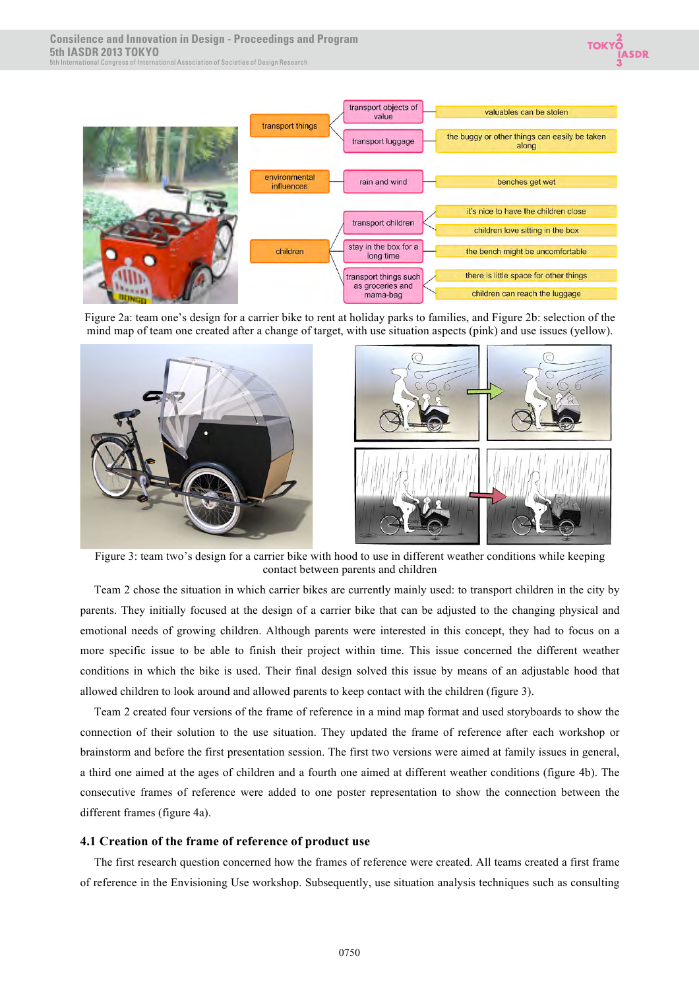



Figure 2a: team one's design for a carrier bike to rent at holiday parks to families, and Figure 2b: selection of the mind map of team one created after a change of target, with use situation aspects (pink) and use issues (yellow).



 Figure 3: team two's design for a carrier bike with hood to use in different weather conditions while keeping contact between parents and children

Team 2 chose the situation in which carrier bikes are currently mainly used: to transport children in the city by parents. They initially focused at the design of a carrier bike that can be adjusted to the changing physical and emotional needs of growing children. Although parents were interested in this concept, they had to focus on a more specific issue to be able to finish their project within time. This issue concerned the different weather conditions in which the bike is used. Their final design solved this issue by means of an adjustable hood that allowed children to look around and allowed parents to keep contact with the children (figure 3).

Team 2 created four versions of the frame of reference in a mind map format and used storyboards to show the connection of their solution to the use situation. They updated the frame of reference after each workshop or brainstorm and before the first presentation session. The first two versions were aimed at family issues in general, a third one aimed at the ages of children and a fourth one aimed at different weather conditions (figure 4b). The consecutive frames of reference were added to one poster representation to show the connection between the different frames (figure 4a).

## **4.1 Creation of the frame of reference of product use**

The first research question concerned how the frames of reference were created. All teams created a first frame of reference in the Envisioning Use workshop. Subsequently, use situation analysis techniques such as consulting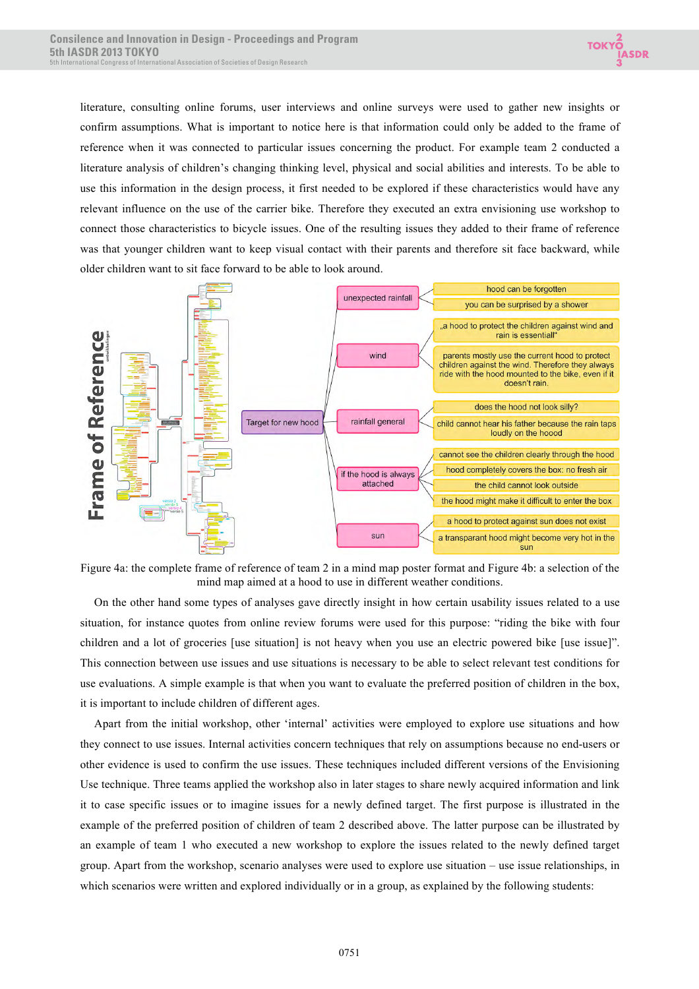

literature, consulting online forums, user interviews and online surveys were used to gather new insights or confirm assumptions. What is important to notice here is that information could only be added to the frame of reference when it was connected to particular issues concerning the product. For example team 2 conducted a literature analysis of children's changing thinking level, physical and social abilities and interests. To be able to use this information in the design process, it first needed to be explored if these characteristics would have any relevant influence on the use of the carrier bike. Therefore they executed an extra envisioning use workshop to connect those characteristics to bicycle issues. One of the resulting issues they added to their frame of reference was that younger children want to keep visual contact with their parents and therefore sit face backward, while older children want to sit face forward to be able to look around.



Figure 4a: the complete frame of reference of team 2 in a mind map poster format and Figure 4b: a selection of the mind map aimed at a hood to use in different weather conditions.

On the other hand some types of analyses gave directly insight in how certain usability issues related to a use situation, for instance quotes from online review forums were used for this purpose: "riding the bike with four children and a lot of groceries [use situation] is not heavy when you use an electric powered bike [use issue]". This connection between use issues and use situations is necessary to be able to select relevant test conditions for use evaluations. A simple example is that when you want to evaluate the preferred position of children in the box, it is important to include children of different ages.

Apart from the initial workshop, other 'internal' activities were employed to explore use situations and how they connect to use issues. Internal activities concern techniques that rely on assumptions because no end-users or other evidence is used to confirm the use issues. These techniques included different versions of the Envisioning Use technique. Three teams applied the workshop also in later stages to share newly acquired information and link it to case specific issues or to imagine issues for a newly defined target. The first purpose is illustrated in the example of the preferred position of children of team 2 described above. The latter purpose can be illustrated by an example of team 1 who executed a new workshop to explore the issues related to the newly defined target group. Apart from the workshop, scenario analyses were used to explore use situation – use issue relationships, in which scenarios were written and explored individually or in a group, as explained by the following students: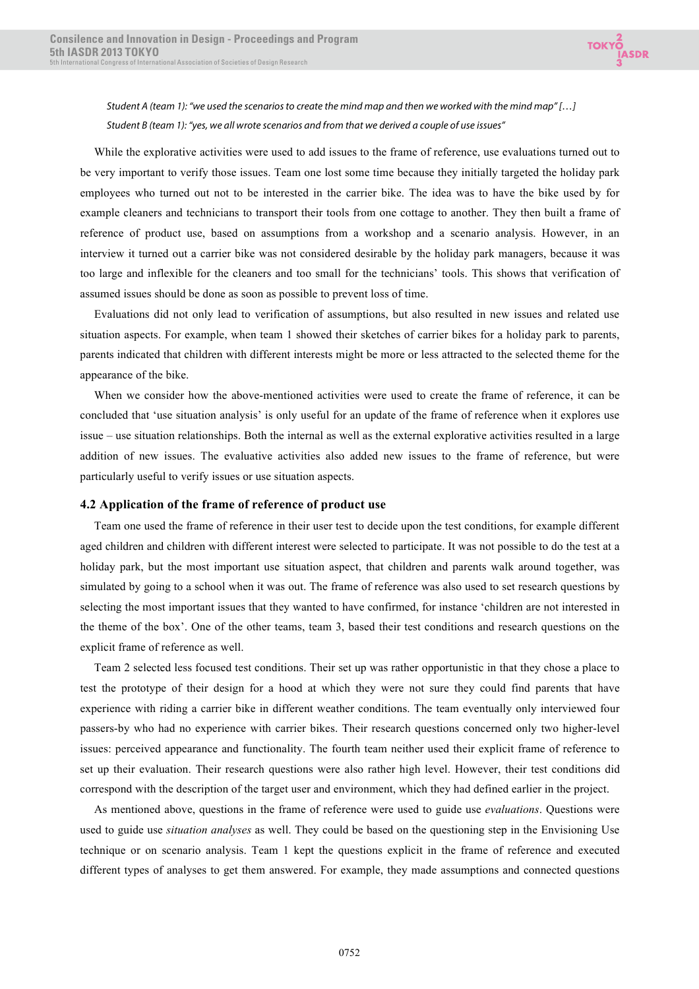

*Student A (team 1): "we used the scenarios to create the mind map and then we worked with the mind map" […] Student B (team 1): "yes, we all wrote scenarios and from that we derived a couple of use issues"* 

While the explorative activities were used to add issues to the frame of reference, use evaluations turned out to be very important to verify those issues. Team one lost some time because they initially targeted the holiday park employees who turned out not to be interested in the carrier bike. The idea was to have the bike used by for example cleaners and technicians to transport their tools from one cottage to another. They then built a frame of reference of product use, based on assumptions from a workshop and a scenario analysis. However, in an interview it turned out a carrier bike was not considered desirable by the holiday park managers, because it was too large and inflexible for the cleaners and too small for the technicians' tools. This shows that verification of assumed issues should be done as soon as possible to prevent loss of time.

Evaluations did not only lead to verification of assumptions, but also resulted in new issues and related use situation aspects. For example, when team 1 showed their sketches of carrier bikes for a holiday park to parents, parents indicated that children with different interests might be more or less attracted to the selected theme for the appearance of the bike.

When we consider how the above-mentioned activities were used to create the frame of reference, it can be concluded that 'use situation analysis' is only useful for an update of the frame of reference when it explores use issue – use situation relationships. Both the internal as well as the external explorative activities resulted in a large addition of new issues. The evaluative activities also added new issues to the frame of reference, but were particularly useful to verify issues or use situation aspects.

#### **4.2 Application of the frame of reference of product use**

Team one used the frame of reference in their user test to decide upon the test conditions, for example different aged children and children with different interest were selected to participate. It was not possible to do the test at a holiday park, but the most important use situation aspect, that children and parents walk around together, was simulated by going to a school when it was out. The frame of reference was also used to set research questions by selecting the most important issues that they wanted to have confirmed, for instance 'children are not interested in the theme of the box'. One of the other teams, team 3, based their test conditions and research questions on the explicit frame of reference as well.

Team 2 selected less focused test conditions. Their set up was rather opportunistic in that they chose a place to test the prototype of their design for a hood at which they were not sure they could find parents that have experience with riding a carrier bike in different weather conditions. The team eventually only interviewed four passers-by who had no experience with carrier bikes. Their research questions concerned only two higher-level issues: perceived appearance and functionality. The fourth team neither used their explicit frame of reference to set up their evaluation. Their research questions were also rather high level. However, their test conditions did correspond with the description of the target user and environment, which they had defined earlier in the project.

As mentioned above, questions in the frame of reference were used to guide use *evaluations*. Questions were used to guide use *situation analyses* as well. They could be based on the questioning step in the Envisioning Use technique or on scenario analysis. Team 1 kept the questions explicit in the frame of reference and executed different types of analyses to get them answered. For example, they made assumptions and connected questions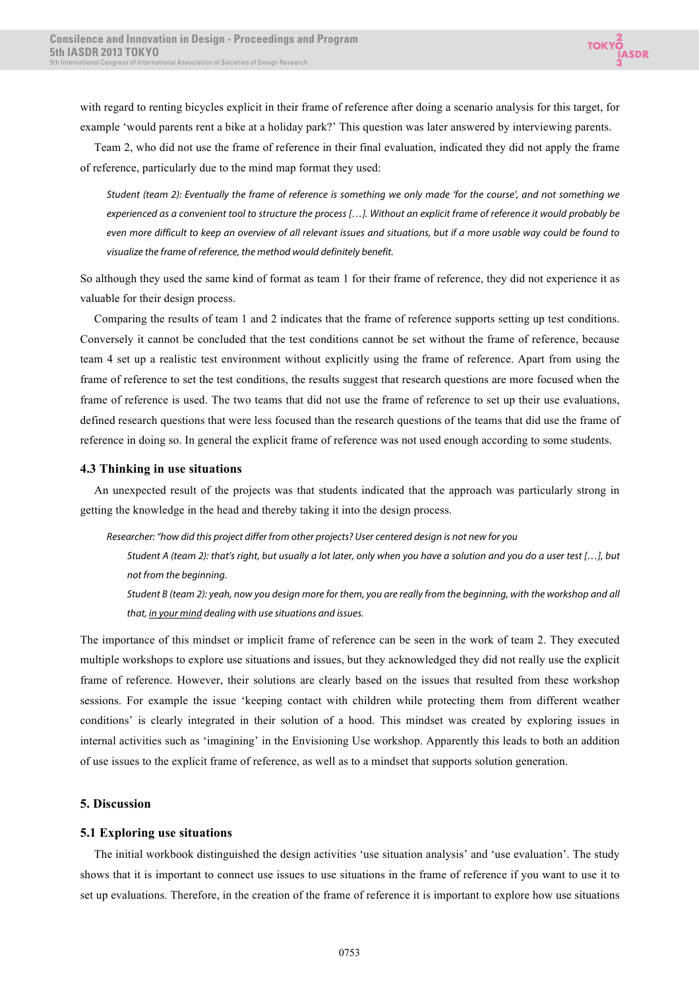with regard to renting bicycles explicit in their frame of reference after doing a scenario analysis for this target, for example 'would parents rent a bike at a holiday park?' This question was later answered by interviewing parents.

Team 2, who did not use the frame of reference in their final evaluation, indicated they did not apply the frame of reference, particularly due to the mind map format they used:

*Student (team 2): Eventually the frame of reference is something we only made 'for the course', and not something we experienced as a convenient tool to structure the process […]. Without an explicit frame of reference it would probably be even more difficult to keep an overview of all relevant issues and situations, but if a more usable way could be found to visualize the frame of reference, the method would definitely benefit.*

So although they used the same kind of format as team 1 for their frame of reference, they did not experience it as valuable for their design process.

Comparing the results of team 1 and 2 indicates that the frame of reference supports setting up test conditions. Conversely it cannot be concluded that the test conditions cannot be set without the frame of reference, because team 4 set up a realistic test environment without explicitly using the frame of reference. Apart from using the frame of reference to set the test conditions, the results suggest that research questions are more focused when the frame of reference is used. The two teams that did not use the frame of reference to set up their use evaluations, defined research questions that were less focused than the research questions of the teams that did use the frame of reference in doing so. In general the explicit frame of reference was not used enough according to some students.

## **4.3 Thinking in use situations**

An unexpected result of the projects was that students indicated that the approach was particularly strong in getting the knowledge in the head and thereby taking it into the design process.

*Researcher: "how did this project differ from other projects? User centered design is not new for you*

*Student A (team 2): that's right, but usually a lot later, only when you have a solution and you do a user test […], but not from the beginning.*

*Student B (team 2): yeah, now you design more for them, you are really from the beginning, with the workshop and all that, in your mind dealing with use situations and issues.*

The importance of this mindset or implicit frame of reference can be seen in the work of team 2. They executed multiple workshops to explore use situations and issues, but they acknowledged they did not really use the explicit frame of reference. However, their solutions are clearly based on the issues that resulted from these workshop sessions. For example the issue 'keeping contact with children while protecting them from different weather conditions' is clearly integrated in their solution of a hood. This mindset was created by exploring issues in internal activities such as 'imagining' in the Envisioning Use workshop. Apparently this leads to both an addition of use issues to the explicit frame of reference, as well as to a mindset that supports solution generation.

## **5. Discussion**

## **5.1 Exploring use situations**

The initial workbook distinguished the design activities 'use situation analysis' and 'use evaluation'. The study shows that it is important to connect use issues to use situations in the frame of reference if you want to use it to set up evaluations. Therefore, in the creation of the frame of reference it is important to explore how use situations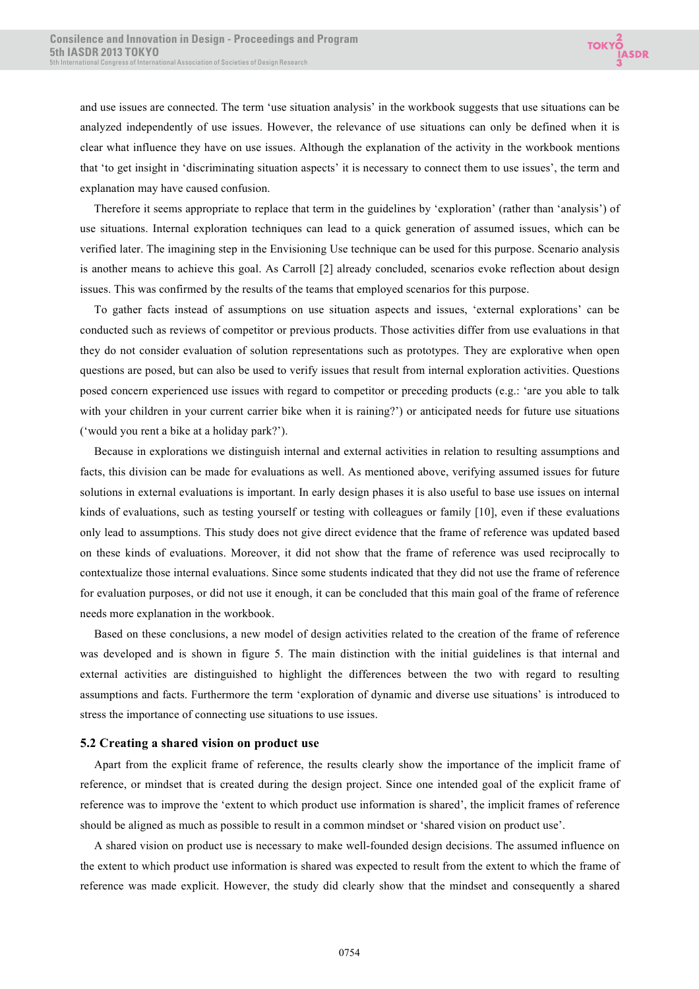and use issues are connected. The term 'use situation analysis' in the workbook suggests that use situations can be analyzed independently of use issues. However, the relevance of use situations can only be defined when it is clear what influence they have on use issues. Although the explanation of the activity in the workbook mentions that 'to get insight in 'discriminating situation aspects' it is necessary to connect them to use issues', the term and explanation may have caused confusion.

Therefore it seems appropriate to replace that term in the guidelines by 'exploration' (rather than 'analysis') of use situations. Internal exploration techniques can lead to a quick generation of assumed issues, which can be verified later. The imagining step in the Envisioning Use technique can be used for this purpose. Scenario analysis is another means to achieve this goal. As Carroll [2] already concluded, scenarios evoke reflection about design issues. This was confirmed by the results of the teams that employed scenarios for this purpose.

To gather facts instead of assumptions on use situation aspects and issues, 'external explorations' can be conducted such as reviews of competitor or previous products. Those activities differ from use evaluations in that they do not consider evaluation of solution representations such as prototypes. They are explorative when open questions are posed, but can also be used to verify issues that result from internal exploration activities. Questions posed concern experienced use issues with regard to competitor or preceding products (e.g.: 'are you able to talk with your children in your current carrier bike when it is raining?') or anticipated needs for future use situations ('would you rent a bike at a holiday park?').

Because in explorations we distinguish internal and external activities in relation to resulting assumptions and facts, this division can be made for evaluations as well. As mentioned above, verifying assumed issues for future solutions in external evaluations is important. In early design phases it is also useful to base use issues on internal kinds of evaluations, such as testing yourself or testing with colleagues or family [10], even if these evaluations only lead to assumptions. This study does not give direct evidence that the frame of reference was updated based on these kinds of evaluations. Moreover, it did not show that the frame of reference was used reciprocally to contextualize those internal evaluations. Since some students indicated that they did not use the frame of reference for evaluation purposes, or did not use it enough, it can be concluded that this main goal of the frame of reference needs more explanation in the workbook.

Based on these conclusions, a new model of design activities related to the creation of the frame of reference was developed and is shown in figure 5. The main distinction with the initial guidelines is that internal and external activities are distinguished to highlight the differences between the two with regard to resulting assumptions and facts. Furthermore the term 'exploration of dynamic and diverse use situations' is introduced to stress the importance of connecting use situations to use issues.

#### **5.2 Creating a shared vision on product use**

Apart from the explicit frame of reference, the results clearly show the importance of the implicit frame of reference, or mindset that is created during the design project. Since one intended goal of the explicit frame of reference was to improve the 'extent to which product use information is shared', the implicit frames of reference should be aligned as much as possible to result in a common mindset or 'shared vision on product use'.

A shared vision on product use is necessary to make well-founded design decisions. The assumed influence on the extent to which product use information is shared was expected to result from the extent to which the frame of reference was made explicit. However, the study did clearly show that the mindset and consequently a shared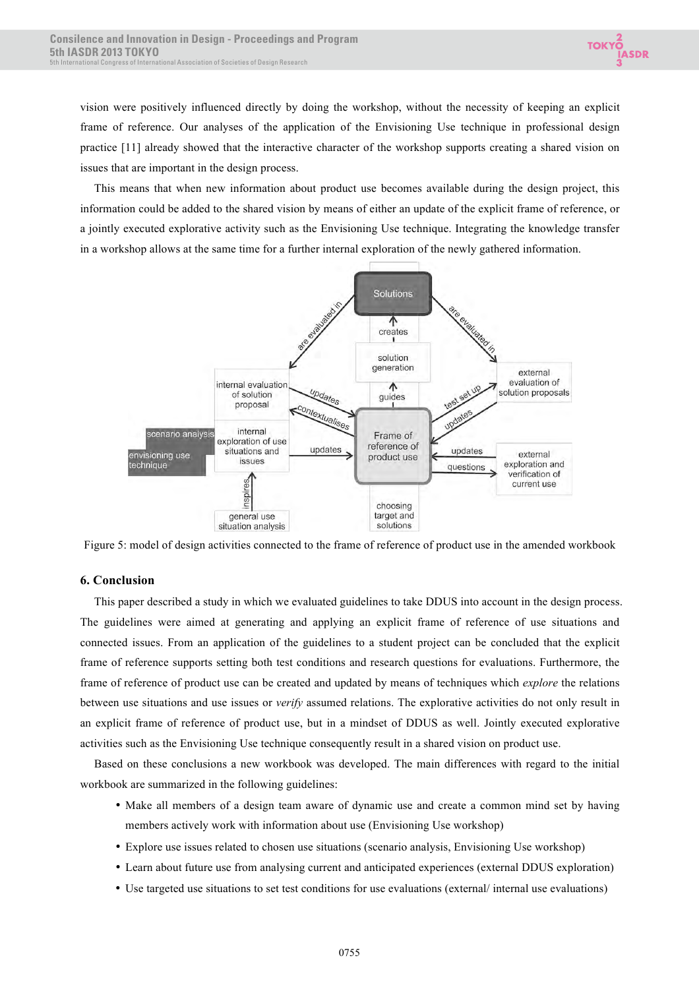vision were positively influenced directly by doing the workshop, without the necessity of keeping an explicit frame of reference. Our analyses of the application of the Envisioning Use technique in professional design practice [11] already showed that the interactive character of the workshop supports creating a shared vision on issues that are important in the design process.

This means that when new information about product use becomes available during the design project, this information could be added to the shared vision by means of either an update of the explicit frame of reference, or a jointly executed explorative activity such as the Envisioning Use technique. Integrating the knowledge transfer in a workshop allows at the same time for a further internal exploration of the newly gathered information.



Figure 5: model of design activities connected to the frame of reference of product use in the amended workbook

# **6. Conclusion**

This paper described a study in which we evaluated guidelines to take DDUS into account in the design process. The guidelines were aimed at generating and applying an explicit frame of reference of use situations and connected issues. From an application of the guidelines to a student project can be concluded that the explicit frame of reference supports setting both test conditions and research questions for evaluations. Furthermore, the frame of reference of product use can be created and updated by means of techniques which *explore* the relations between use situations and use issues or *verify* assumed relations. The explorative activities do not only result in an explicit frame of reference of product use, but in a mindset of DDUS as well. Jointly executed explorative activities such as the Envisioning Use technique consequently result in a shared vision on product use.

Based on these conclusions a new workbook was developed. The main differences with regard to the initial workbook are summarized in the following guidelines:

- Make all members of a design team aware of dynamic use and create a common mind set by having members actively work with information about use (Envisioning Use workshop)
- Explore use issues related to chosen use situations (scenario analysis, Envisioning Use workshop)
- Learn about future use from analysing current and anticipated experiences (external DDUS exploration)
- Use targeted use situations to set test conditions for use evaluations (external/ internal use evaluations)